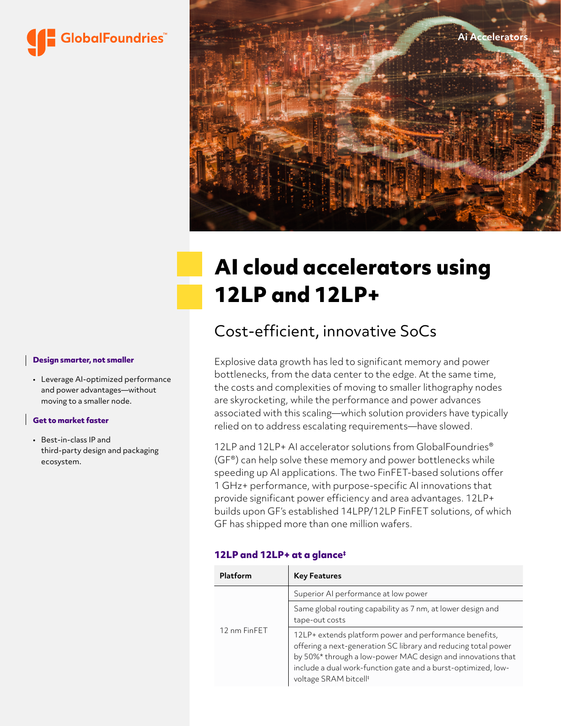



# **AI cloud accelerators using 12LP and 12LP+**

# Cost-efficient, innovative SoCs

Explosive data growth has led to significant memory and power bottlenecks, from the data center to the edge. At the same time, the costs and complexities of moving to smaller lithography nodes are skyrocketing, while the performance and power advances associated with this scaling—which solution providers have typically relied on to address escalating requirements—have slowed.

12LP and 12LP+ AI accelerator solutions from GlobalFoundries<sup>®</sup> (GF®) can help solve these memory and power bottlenecks while speeding up AI applications. The two FinFET-based solutions offer 1 GHz+ performance, with purpose-specific AI innovations that provide significant power efficiency and area advantages. 12LP+ builds upon GF's established 14LPP/12LP FinFET solutions, of which GF has shipped more than one million wafers.

#### **12LP and 12LP+ at a glance‡**

| Platform     | <b>Key Features</b>                                                                                                                                                                                                                                                                           |  |
|--------------|-----------------------------------------------------------------------------------------------------------------------------------------------------------------------------------------------------------------------------------------------------------------------------------------------|--|
| 12 nm FinFET | Superior AI performance at low power                                                                                                                                                                                                                                                          |  |
|              | Same global routing capability as 7 nm, at lower design and<br>tape-out costs                                                                                                                                                                                                                 |  |
|              | 12LP+ extends platform power and performance benefits,<br>offering a next-generation SC library and reducing total power<br>by 50%* through a low-power MAC design and innovations that<br>include a dual work-function gate and a burst-optimized, low-<br>voltage SRAM bitcell <sup>#</sup> |  |

#### **Design smarter, not smaller**

• Leverage AI-optimized performance and power advantages—without moving to a smaller node.

#### **Get to market faster**

• Best-in-class IP and third-party design and packaging ecosystem.